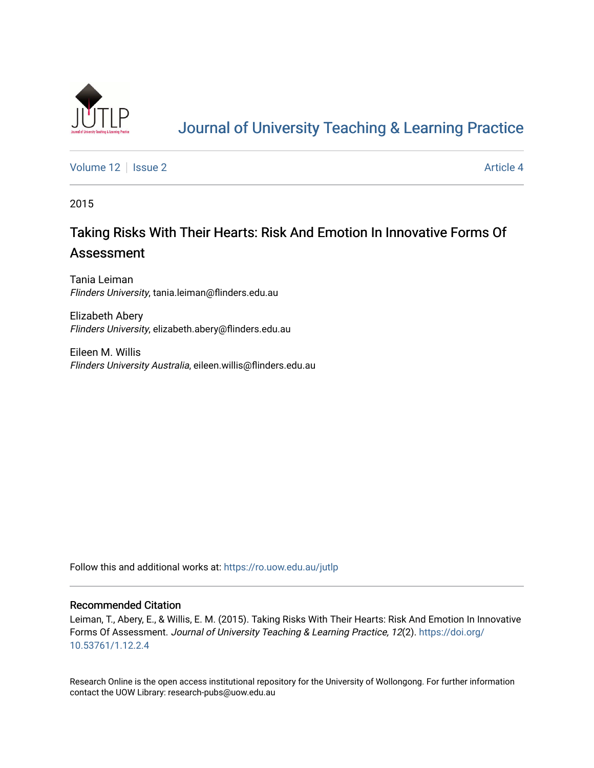

# [Journal of University Teaching & Learning Practice](https://ro.uow.edu.au/jutlp)

[Volume 12](https://ro.uow.edu.au/jutlp/vol12) | [Issue 2](https://ro.uow.edu.au/jutlp/vol12/iss2) Article 4

2015

# Taking Risks With Their Hearts: Risk And Emotion In Innovative Forms Of Assessment

Tania Leiman Flinders University, tania.leiman@flinders.edu.au

Elizabeth Abery Flinders University, elizabeth.abery@flinders.edu.au

Eileen M. Willis Flinders University Australia, eileen.willis@flinders.edu.au

Follow this and additional works at: [https://ro.uow.edu.au/jutlp](https://ro.uow.edu.au/jutlp?utm_source=ro.uow.edu.au%2Fjutlp%2Fvol12%2Fiss2%2F4&utm_medium=PDF&utm_campaign=PDFCoverPages) 

### Recommended Citation

Leiman, T., Abery, E., & Willis, E. M. (2015). Taking Risks With Their Hearts: Risk And Emotion In Innovative Forms Of Assessment. Journal of University Teaching & Learning Practice, 12(2). [https://doi.org/](https://doi.org/10.53761/1.12.2.4) [10.53761/1.12.2.4](https://doi.org/10.53761/1.12.2.4) 

Research Online is the open access institutional repository for the University of Wollongong. For further information contact the UOW Library: research-pubs@uow.edu.au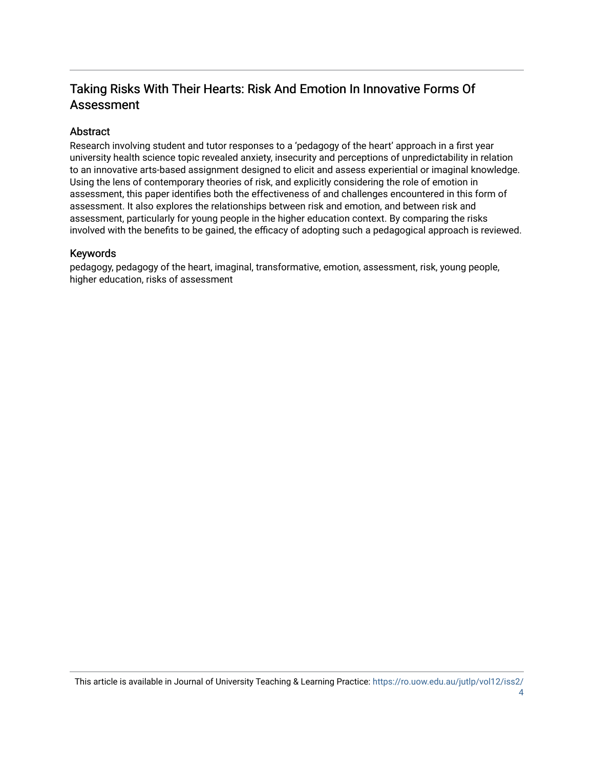## Taking Risks With Their Hearts: Risk And Emotion In Innovative Forms Of Assessment

## Abstract

Research involving student and tutor responses to a 'pedagogy of the heart' approach in a first year university health science topic revealed anxiety, insecurity and perceptions of unpredictability in relation to an innovative arts-based assignment designed to elicit and assess experiential or imaginal knowledge. Using the lens of contemporary theories of risk, and explicitly considering the role of emotion in assessment, this paper identifies both the effectiveness of and challenges encountered in this form of assessment. It also explores the relationships between risk and emotion, and between risk and assessment, particularly for young people in the higher education context. By comparing the risks involved with the benefits to be gained, the efficacy of adopting such a pedagogical approach is reviewed.

## Keywords

pedagogy, pedagogy of the heart, imaginal, transformative, emotion, assessment, risk, young people, higher education, risks of assessment

This article is available in Journal of University Teaching & Learning Practice: [https://ro.uow.edu.au/jutlp/vol12/iss2/](https://ro.uow.edu.au/jutlp/vol12/iss2/4) [4](https://ro.uow.edu.au/jutlp/vol12/iss2/4)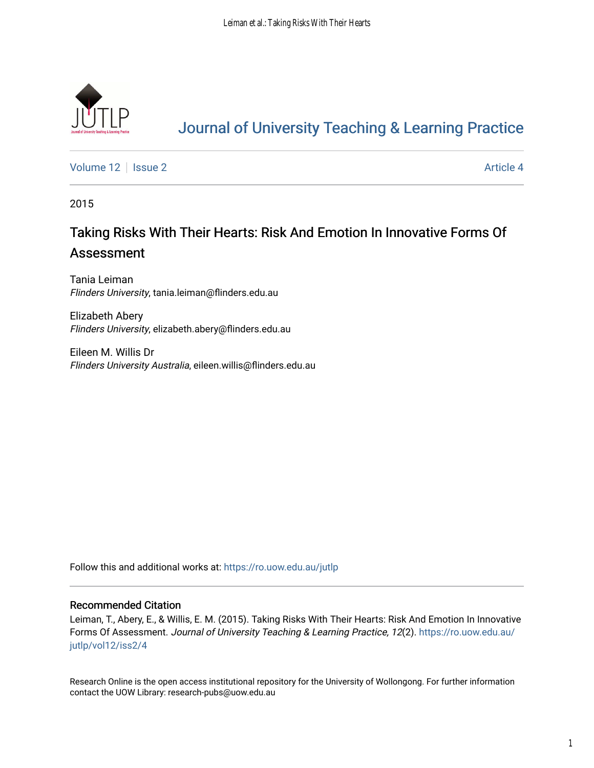

# [Journal of University Teaching & Learning Practice](https://ro.uow.edu.au/jutlp)

[Volume 12](https://ro.uow.edu.au/jutlp/vol12) | [Issue 2](https://ro.uow.edu.au/jutlp/vol12/iss2) Article 4

2015

# Taking Risks With Their Hearts: Risk And Emotion In Innovative Forms Of Assessment

Tania Leiman Flinders University, tania.leiman@flinders.edu.au

Elizabeth Abery Flinders University, elizabeth.abery@flinders.edu.au

Eileen M. Willis Dr Flinders University Australia, eileen.willis@flinders.edu.au

Follow this and additional works at: [https://ro.uow.edu.au/jutlp](https://ro.uow.edu.au/jutlp?utm_source=ro.uow.edu.au%2Fjutlp%2Fvol12%2Fiss2%2F4&utm_medium=PDF&utm_campaign=PDFCoverPages) 

### Recommended Citation

Leiman, T., Abery, E., & Willis, E. M. (2015). Taking Risks With Their Hearts: Risk And Emotion In Innovative Forms Of Assessment. Journal of University Teaching & Learning Practice, 12(2). [https://ro.uow.edu.au/](https://ro.uow.edu.au/jutlp/vol12/iss2/4?utm_source=ro.uow.edu.au%2Fjutlp%2Fvol12%2Fiss2%2F4&utm_medium=PDF&utm_campaign=PDFCoverPages) [jutlp/vol12/iss2/4](https://ro.uow.edu.au/jutlp/vol12/iss2/4?utm_source=ro.uow.edu.au%2Fjutlp%2Fvol12%2Fiss2%2F4&utm_medium=PDF&utm_campaign=PDFCoverPages) 

Research Online is the open access institutional repository for the University of Wollongong. For further information contact the UOW Library: research-pubs@uow.edu.au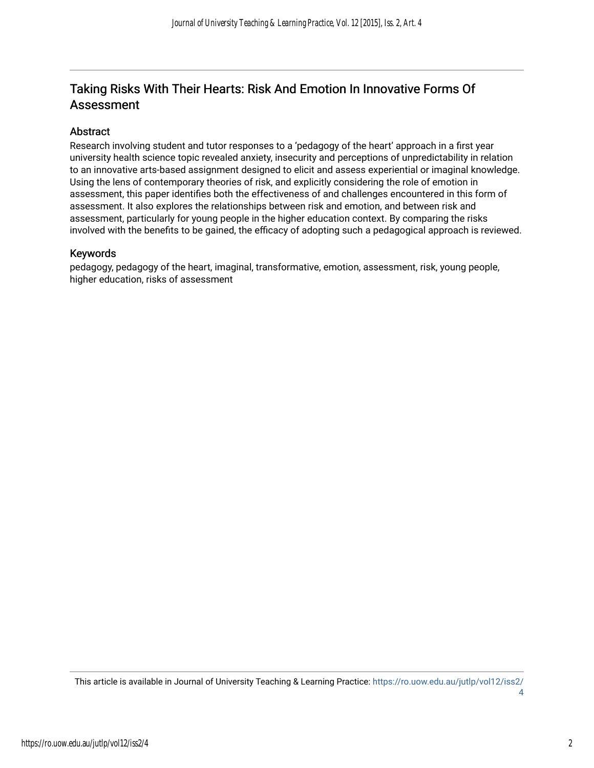## Taking Risks With Their Hearts: Risk And Emotion In Innovative Forms Of Assessment

## Abstract

Research involving student and tutor responses to a 'pedagogy of the heart' approach in a first year university health science topic revealed anxiety, insecurity and perceptions of unpredictability in relation to an innovative arts-based assignment designed to elicit and assess experiential or imaginal knowledge. Using the lens of contemporary theories of risk, and explicitly considering the role of emotion in assessment, this paper identifies both the effectiveness of and challenges encountered in this form of assessment. It also explores the relationships between risk and emotion, and between risk and assessment, particularly for young people in the higher education context. By comparing the risks involved with the benefits to be gained, the efficacy of adopting such a pedagogical approach is reviewed.

## Keywords

pedagogy, pedagogy of the heart, imaginal, transformative, emotion, assessment, risk, young people, higher education, risks of assessment

This article is available in Journal of University Teaching & Learning Practice: [https://ro.uow.edu.au/jutlp/vol12/iss2/](https://ro.uow.edu.au/jutlp/vol12/iss2/4) [4](https://ro.uow.edu.au/jutlp/vol12/iss2/4)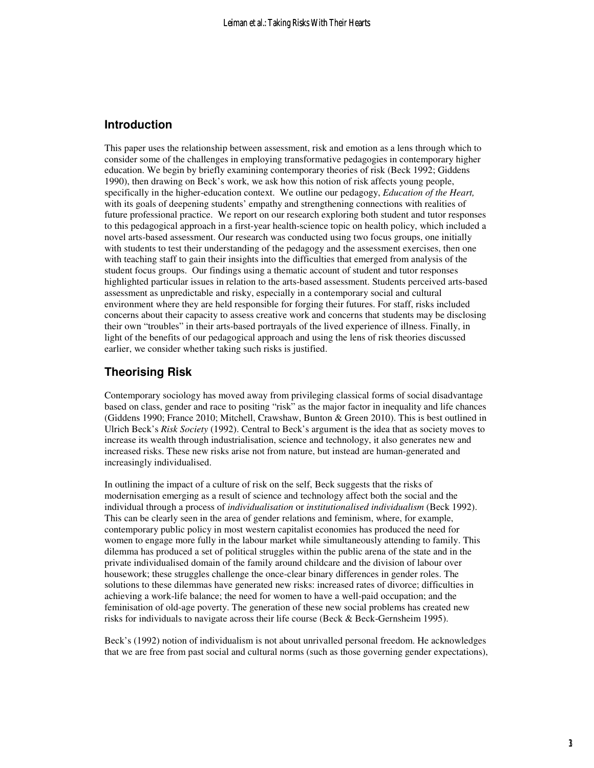## **Introduction**

This paper uses the relationship between assessment, risk and emotion as a lens through which to consider some of the challenges in employing transformative pedagogies in contemporary higher education. We begin by briefly examining contemporary theories of risk (Beck 1992; Giddens 1990), then drawing on Beck's work, we ask how this notion of risk affects young people, specifically in the higher-education context. We outline our pedagogy, *Education of the Heart,*  with its goals of deepening students' empathy and strengthening connections with realities of future professional practice. We report on our research exploring both student and tutor responses to this pedagogical approach in a first-year health-science topic on health policy, which included a novel arts-based assessment. Our research was conducted using two focus groups, one initially with students to test their understanding of the pedagogy and the assessment exercises, then one with teaching staff to gain their insights into the difficulties that emerged from analysis of the student focus groups. Our findings using a thematic account of student and tutor responses highlighted particular issues in relation to the arts-based assessment. Students perceived arts-based assessment as unpredictable and risky, especially in a contemporary social and cultural environment where they are held responsible for forging their futures. For staff, risks included concerns about their capacity to assess creative work and concerns that students may be disclosing their own "troubles" in their arts-based portrayals of the lived experience of illness. Finally, in light of the benefits of our pedagogical approach and using the lens of risk theories discussed earlier, we consider whether taking such risks is justified.

## **Theorising Risk**

Contemporary sociology has moved away from privileging classical forms of social disadvantage based on class, gender and race to positing "risk" as the major factor in inequality and life chances (Giddens 1990; France 2010; Mitchell, Crawshaw, Bunton & Green 2010). This is best outlined in Ulrich Beck's *Risk Society* (1992). Central to Beck's argument is the idea that as society moves to increase its wealth through industrialisation, science and technology, it also generates new and increased risks. These new risks arise not from nature, but instead are human-generated and increasingly individualised.

In outlining the impact of a culture of risk on the self, Beck suggests that the risks of modernisation emerging as a result of science and technology affect both the social and the individual through a process of *individualisation* or *institutionalised individualism* (Beck 1992). This can be clearly seen in the area of gender relations and feminism, where, for example, contemporary public policy in most western capitalist economies has produced the need for women to engage more fully in the labour market while simultaneously attending to family. This dilemma has produced a set of political struggles within the public arena of the state and in the private individualised domain of the family around childcare and the division of labour over housework; these struggles challenge the once-clear binary differences in gender roles. The solutions to these dilemmas have generated new risks: increased rates of divorce; difficulties in achieving a work-life balance; the need for women to have a well-paid occupation; and the feminisation of old-age poverty. The generation of these new social problems has created new risks for individuals to navigate across their life course (Beck & Beck-Gernsheim 1995).

Beck's (1992) notion of individualism is not about unrivalled personal freedom. He acknowledges that we are free from past social and cultural norms (such as those governing gender expectations),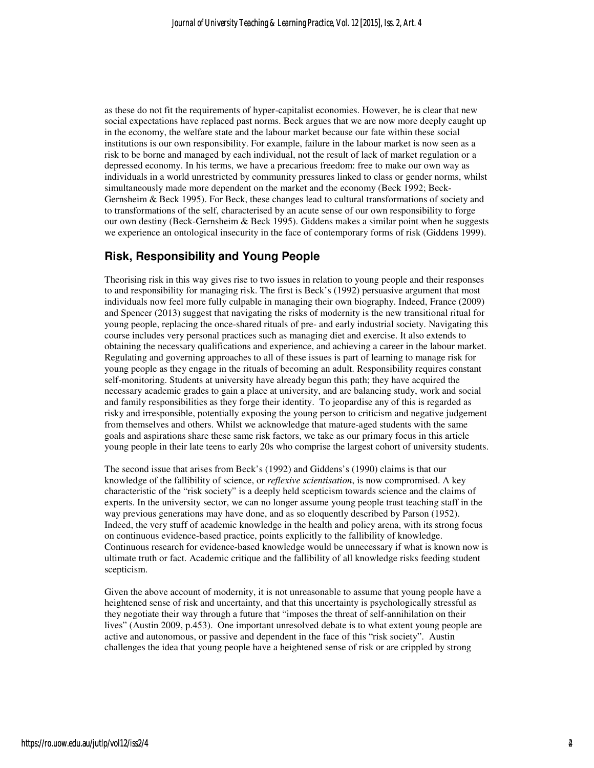as these do not fit the requirements of hyper-capitalist economies. However, he is clear that new social expectations have replaced past norms. Beck argues that we are now more deeply caught up in the economy, the welfare state and the labour market because our fate within these social institutions is our own responsibility. For example, failure in the labour market is now seen as a risk to be borne and managed by each individual, not the result of lack of market regulation or a depressed economy. In his terms, we have a precarious freedom: free to make our own way as individuals in a world unrestricted by community pressures linked to class or gender norms, whilst simultaneously made more dependent on the market and the economy (Beck 1992; Beck-Gernsheim & Beck 1995). For Beck, these changes lead to cultural transformations of society and to transformations of the self, characterised by an acute sense of our own responsibility to forge our own destiny (Beck-Gernsheim & Beck 1995). Giddens makes a similar point when he suggests we experience an ontological insecurity in the face of contemporary forms of risk (Giddens 1999).

## **Risk, Responsibility and Young People**

Theorising risk in this way gives rise to two issues in relation to young people and their responses to and responsibility for managing risk. The first is Beck's (1992) persuasive argument that most individuals now feel more fully culpable in managing their own biography. Indeed, France (2009) and Spencer (2013) suggest that navigating the risks of modernity is the new transitional ritual for young people, replacing the once-shared rituals of pre- and early industrial society. Navigating this course includes very personal practices such as managing diet and exercise. It also extends to obtaining the necessary qualifications and experience, and achieving a career in the labour market. Regulating and governing approaches to all of these issues is part of learning to manage risk for young people as they engage in the rituals of becoming an adult. Responsibility requires constant self-monitoring. Students at university have already begun this path; they have acquired the necessary academic grades to gain a place at university, and are balancing study, work and social and family responsibilities as they forge their identity. To jeopardise any of this is regarded as risky and irresponsible, potentially exposing the young person to criticism and negative judgement from themselves and others. Whilst we acknowledge that mature-aged students with the same goals and aspirations share these same risk factors, we take as our primary focus in this article young people in their late teens to early 20s who comprise the largest cohort of university students.

The second issue that arises from Beck's (1992) and Giddens's (1990) claims is that our knowledge of the fallibility of science, or *reflexive scientisation*, is now compromised. A key characteristic of the "risk society" is a deeply held scepticism towards science and the claims of experts. In the university sector, we can no longer assume young people trust teaching staff in the way previous generations may have done, and as so eloquently described by Parson (1952). Indeed, the very stuff of academic knowledge in the health and policy arena, with its strong focus on continuous evidence-based practice, points explicitly to the fallibility of knowledge. Continuous research for evidence-based knowledge would be unnecessary if what is known now is ultimate truth or fact. Academic critique and the fallibility of all knowledge risks feeding student scepticism.

Given the above account of modernity, it is not unreasonable to assume that young people have a heightened sense of risk and uncertainty, and that this uncertainty is psychologically stressful as they negotiate their way through a future that "imposes the threat of self-annihilation on their lives" (Austin 2009, p.453). One important unresolved debate is to what extent young people are active and autonomous, or passive and dependent in the face of this "risk society". Austin challenges the idea that young people have a heightened sense of risk or are crippled by strong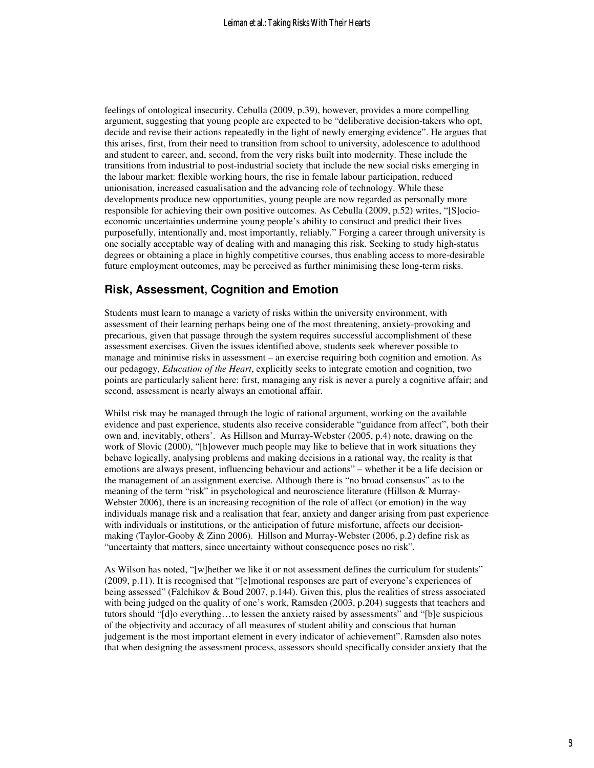feelings of ontological insecurity. Cebulla (2009, p.39), however, provides a more compelling argument, suggesting that young people are expected to be "deliberative decision-takers who opt, decide and revise their actions repeatedly in the light of newly emerging evidence". He argues that this arises, first, from their need to transition from school to university, adolescence to adulthood and student to career, and, second, from the very risks built into modernity. These include the transitions from industrial to post-industrial society that include the new social risks emerging in the labour market: flexible working hours, the rise in female labour participation, reduced unionisation, increased casualisation and the advancing role of technology. While these developments produce new opportunities, young people are now regarded as personally more responsible for achieving their own positive outcomes. As Cebulla (2009, p.52) writes, "[S]ocioeconomic uncertainties undermine young people's ability to construct and predict their lives purposefully, intentionally and, most importantly, reliably." Forging a career through university is one socially acceptable way of dealing with and managing this risk. Seeking to study high-status degrees or obtaining a place in highly competitive courses, thus enabling access to more-desirable future employment outcomes, may be perceived as further minimising these long-term risks.

## **Risk, Assessment, Cognition and Emotion**

Students must learn to manage a variety of risks within the university environment, with assessment of their learning perhaps being one of the most threatening, anxiety-provoking and precarious, given that passage through the system requires successful accomplishment of these assessment exercises. Given the issues identified above, students seek wherever possible to manage and minimise risks in assessment – an exercise requiring both cognition and emotion. As our pedagogy, *Education of the Heart*, explicitly seeks to integrate emotion and cognition, two points are particularly salient here: first, managing any risk is never a purely a cognitive affair; and second, assessment is nearly always an emotional affair.

Whilst risk may be managed through the logic of rational argument, working on the available evidence and past experience, students also receive considerable "guidance from affect", both their own and, inevitably, others'. As Hillson and Murray-Webster (2005, p.4) note, drawing on the work of Slovic (2000), "[h]owever much people may like to believe that in work situations they behave logically, analysing problems and making decisions in a rational way, the reality is that emotions are always present, influencing behaviour and actions" – whether it be a life decision or the management of an assignment exercise. Although there is "no broad consensus" as to the meaning of the term "risk" in psychological and neuroscience literature (Hillson & Murray-Webster 2006), there is an increasing recognition of the role of affect (or emotion) in the way individuals manage risk and a realisation that fear, anxiety and danger arising from past experience with individuals or institutions, or the anticipation of future misfortune, affects our decisionmaking (Taylor-Gooby & Zinn 2006). Hillson and Murray-Webster (2006, p.2) define risk as "uncertainty that matters, since uncertainty without consequence poses no risk".

As Wilson has noted, "[w]hether we like it or not assessment defines the curriculum for students" (2009, p.11). It is recognised that "[e]motional responses are part of everyone's experiences of being assessed" (Falchikov & Boud 2007, p.144). Given this, plus the realities of stress associated with being judged on the quality of one's work, Ramsden (2003, p.204) suggests that teachers and tutors should "[d]o everything…to lessen the anxiety raised by assessments" and "[b]e suspicious of the objectivity and accuracy of all measures of student ability and conscious that human judgement is the most important element in every indicator of achievement". Ramsden also notes that when designing the assessment process, assessors should specifically consider anxiety that the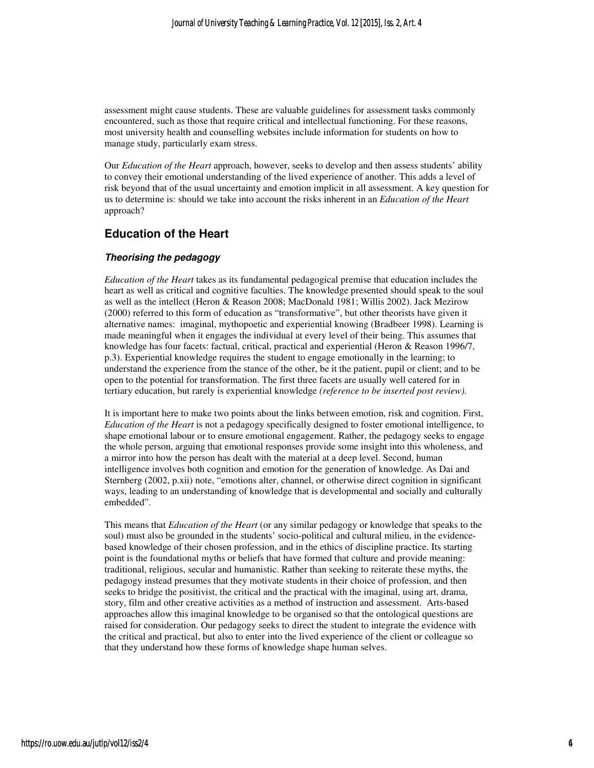assessment might cause students. These are valuable guidelines for assessment tasks commonly encountered, such as those that require critical and intellectual functioning. For these reasons, most university health and counselling websites include information for students on how to manage study, particularly exam stress.

Our *Education of the Heart* approach, however, seeks to develop and then assess students' ability to convey their emotional understanding of the lived experience of another. This adds a level of risk beyond that of the usual uncertainty and emotion implicit in all assessment. A key question for us to determine is: should we take into account the risks inherent in an *Education of the Heart* approach?

## **Education of the Heart**

#### **Theorising the pedagogy**

*Education of the Heart* takes as its fundamental pedagogical premise that education includes the heart as well as critical and cognitive faculties. The knowledge presented should speak to the soul as well as the intellect (Heron & Reason 2008; MacDonald 1981; Willis 2002). Jack Mezirow (2000) referred to this form of education as "transformative", but other theorists have given it alternative names: imaginal, mythopoetic and experiential knowing (Bradbeer 1998). Learning is made meaningful when it engages the individual at every level of their being. This assumes that knowledge has four facets: factual, critical, practical and experiential (Heron & Reason 1996/7, p.3). Experiential knowledge requires the student to engage emotionally in the learning; to understand the experience from the stance of the other, be it the patient, pupil or client; and to be open to the potential for transformation. The first three facets are usually well catered for in tertiary education, but rarely is experiential knowledge *(reference to be inserted post review).* 

It is important here to make two points about the links between emotion, risk and cognition. First, *Education of the Heart* is not a pedagogy specifically designed to foster emotional intelligence, to shape emotional labour or to ensure emotional engagement. Rather, the pedagogy seeks to engage the whole person, arguing that emotional responses provide some insight into this wholeness, and a mirror into how the person has dealt with the material at a deep level. Second, human intelligence involves both cognition and emotion for the generation of knowledge. As Dai and Sternberg (2002, p.xii) note, "emotions alter, channel, or otherwise direct cognition in significant ways, leading to an understanding of knowledge that is developmental and socially and culturally embedded".

This means that *Education of the Heart* (or any similar pedagogy or knowledge that speaks to the soul) must also be grounded in the students' socio-political and cultural milieu, in the evidencebased knowledge of their chosen profession, and in the ethics of discipline practice. Its starting point is the foundational myths or beliefs that have formed that culture and provide meaning: traditional, religious, secular and humanistic. Rather than seeking to reiterate these myths, the pedagogy instead presumes that they motivate students in their choice of profession, and then seeks to bridge the positivist, the critical and the practical with the imaginal, using art, drama, story, film and other creative activities as a method of instruction and assessment. Arts-based approaches allow this imaginal knowledge to be organised so that the ontological questions are raised for consideration. Our pedagogy seeks to direct the student to integrate the evidence with the critical and practical, but also to enter into the lived experience of the client or colleague so that they understand how these forms of knowledge shape human selves.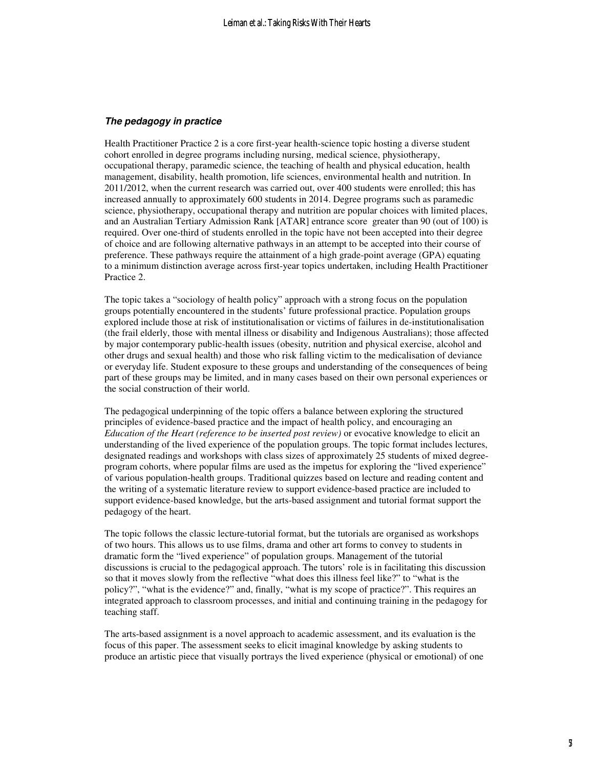#### **The pedagogy in practice**

Health Practitioner Practice 2 is a core first-year health-science topic hosting a diverse student cohort enrolled in degree programs including nursing, medical science, physiotherapy, occupational therapy, paramedic science, the teaching of health and physical education, health management, disability, health promotion, life sciences, environmental health and nutrition. In 2011/2012, when the current research was carried out, over 400 students were enrolled; this has increased annually to approximately 600 students in 2014. Degree programs such as paramedic science, physiotherapy, occupational therapy and nutrition are popular choices with limited places, and an Australian Tertiary Admission Rank [ATAR] entrance score greater than 90 (out of 100) is required. Over one-third of students enrolled in the topic have not been accepted into their degree of choice and are following alternative pathways in an attempt to be accepted into their course of preference. These pathways require the attainment of a high grade-point average (GPA) equating to a minimum distinction average across first-year topics undertaken, including Health Practitioner Practice 2.

The topic takes a "sociology of health policy" approach with a strong focus on the population groups potentially encountered in the students' future professional practice. Population groups explored include those at risk of institutionalisation or victims of failures in de-institutionalisation (the frail elderly, those with mental illness or disability and Indigenous Australians); those affected by major contemporary public-health issues (obesity, nutrition and physical exercise, alcohol and other drugs and sexual health) and those who risk falling victim to the medicalisation of deviance or everyday life. Student exposure to these groups and understanding of the consequences of being part of these groups may be limited, and in many cases based on their own personal experiences or the social construction of their world.

The pedagogical underpinning of the topic offers a balance between exploring the structured principles of evidence-based practice and the impact of health policy, and encouraging an *Education of the Heart (reference to be inserted post review)* or evocative knowledge to elicit an understanding of the lived experience of the population groups. The topic format includes lectures, designated readings and workshops with class sizes of approximately 25 students of mixed degreeprogram cohorts, where popular films are used as the impetus for exploring the "lived experience" of various population-health groups. Traditional quizzes based on lecture and reading content and the writing of a systematic literature review to support evidence-based practice are included to support evidence-based knowledge, but the arts-based assignment and tutorial format support the pedagogy of the heart.

The topic follows the classic lecture-tutorial format, but the tutorials are organised as workshops of two hours. This allows us to use films, drama and other art forms to convey to students in dramatic form the "lived experience" of population groups. Management of the tutorial discussions is crucial to the pedagogical approach. The tutors' role is in facilitating this discussion so that it moves slowly from the reflective "what does this illness feel like?" to "what is the policy?", "what is the evidence?" and, finally, "what is my scope of practice?". This requires an integrated approach to classroom processes, and initial and continuing training in the pedagogy for teaching staff.

The arts-based assignment is a novel approach to academic assessment, and its evaluation is the focus of this paper. The assessment seeks to elicit imaginal knowledge by asking students to produce an artistic piece that visually portrays the lived experience (physical or emotional) of one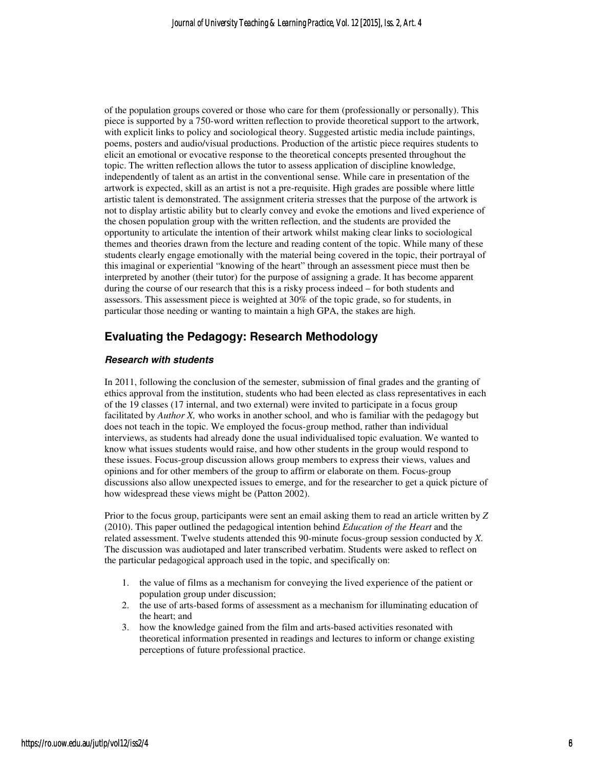of the population groups covered or those who care for them (professionally or personally). This piece is supported by a 750-word written reflection to provide theoretical support to the artwork, with explicit links to policy and sociological theory. Suggested artistic media include paintings, poems, posters and audio/visual productions. Production of the artistic piece requires students to elicit an emotional or evocative response to the theoretical concepts presented throughout the topic. The written reflection allows the tutor to assess application of discipline knowledge, independently of talent as an artist in the conventional sense. While care in presentation of the artwork is expected, skill as an artist is not a pre-requisite. High grades are possible where little artistic talent is demonstrated. The assignment criteria stresses that the purpose of the artwork is not to display artistic ability but to clearly convey and evoke the emotions and lived experience of the chosen population group with the written reflection, and the students are provided the opportunity to articulate the intention of their artwork whilst making clear links to sociological themes and theories drawn from the lecture and reading content of the topic. While many of these students clearly engage emotionally with the material being covered in the topic, their portrayal of this imaginal or experiential "knowing of the heart" through an assessment piece must then be interpreted by another (their tutor) for the purpose of assigning a grade. It has become apparent during the course of our research that this is a risky process indeed – for both students and assessors. This assessment piece is weighted at 30% of the topic grade, so for students, in particular those needing or wanting to maintain a high GPA, the stakes are high.

## **Evaluating the Pedagogy: Research Methodology**

#### **Research with students**

In 2011, following the conclusion of the semester, submission of final grades and the granting of ethics approval from the institution, students who had been elected as class representatives in each of the 19 classes (17 internal, and two external) were invited to participate in a focus group facilitated by *Author X*, who works in another school, and who is familiar with the pedagogy but does not teach in the topic. We employed the focus-group method, rather than individual interviews, as students had already done the usual individualised topic evaluation. We wanted to know what issues students would raise, and how other students in the group would respond to these issues. Focus-group discussion allows group members to express their views, values and opinions and for other members of the group to affirm or elaborate on them. Focus-group discussions also allow unexpected issues to emerge, and for the researcher to get a quick picture of how widespread these views might be (Patton 2002).

Prior to the focus group, participants were sent an email asking them to read an article written by *Z* (2010). This paper outlined the pedagogical intention behind *Education of the Heart* and the related assessment. Twelve students attended this 90-minute focus-group session conducted by *X.* The discussion was audiotaped and later transcribed verbatim. Students were asked to reflect on the particular pedagogical approach used in the topic, and specifically on:

- 1. the value of films as a mechanism for conveying the lived experience of the patient or population group under discussion;
- 2. the use of arts-based forms of assessment as a mechanism for illuminating education of the heart; and
- 3. how the knowledge gained from the film and arts-based activities resonated with theoretical information presented in readings and lectures to inform or change existing perceptions of future professional practice.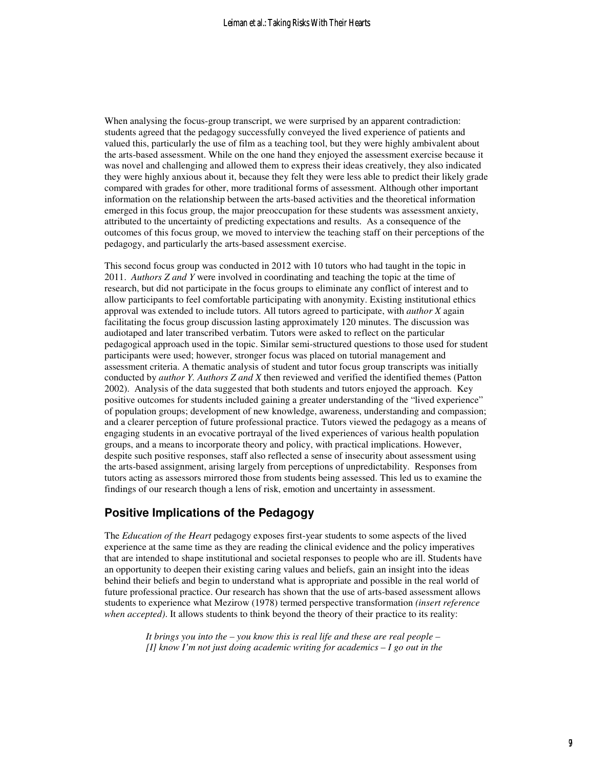When analysing the focus-group transcript, we were surprised by an apparent contradiction: students agreed that the pedagogy successfully conveyed the lived experience of patients and valued this, particularly the use of film as a teaching tool, but they were highly ambivalent about the arts-based assessment. While on the one hand they enjoyed the assessment exercise because it was novel and challenging and allowed them to express their ideas creatively, they also indicated they were highly anxious about it, because they felt they were less able to predict their likely grade compared with grades for other, more traditional forms of assessment. Although other important information on the relationship between the arts-based activities and the theoretical information emerged in this focus group, the major preoccupation for these students was assessment anxiety, attributed to the uncertainty of predicting expectations and results. As a consequence of the outcomes of this focus group, we moved to interview the teaching staff on their perceptions of the pedagogy, and particularly the arts-based assessment exercise.

This second focus group was conducted in 2012 with 10 tutors who had taught in the topic in 2011. *Authors Z and Y* were involved in coordinating and teaching the topic at the time of research, but did not participate in the focus groups to eliminate any conflict of interest and to allow participants to feel comfortable participating with anonymity. Existing institutional ethics approval was extended to include tutors. All tutors agreed to participate, with *author X* again facilitating the focus group discussion lasting approximately 120 minutes. The discussion was audiotaped and later transcribed verbatim. Tutors were asked to reflect on the particular pedagogical approach used in the topic. Similar semi-structured questions to those used for student participants were used; however, stronger focus was placed on tutorial management and assessment criteria. A thematic analysis of student and tutor focus group transcripts was initially conducted by *author Y. Authors Z and X* then reviewed and verified the identified themes (Patton 2002). Analysis of the data suggested that both students and tutors enjoyed the approach. Key positive outcomes for students included gaining a greater understanding of the "lived experience" of population groups; development of new knowledge, awareness, understanding and compassion; and a clearer perception of future professional practice. Tutors viewed the pedagogy as a means of engaging students in an evocative portrayal of the lived experiences of various health population groups, and a means to incorporate theory and policy, with practical implications. However, despite such positive responses, staff also reflected a sense of insecurity about assessment using the arts-based assignment, arising largely from perceptions of unpredictability. Responses from tutors acting as assessors mirrored those from students being assessed. This led us to examine the findings of our research though a lens of risk, emotion and uncertainty in assessment.

### **Positive Implications of the Pedagogy**

The *Education of the Heart* pedagogy exposes first-year students to some aspects of the lived experience at the same time as they are reading the clinical evidence and the policy imperatives that are intended to shape institutional and societal responses to people who are ill. Students have an opportunity to deepen their existing caring values and beliefs, gain an insight into the ideas behind their beliefs and begin to understand what is appropriate and possible in the real world of future professional practice. Our research has shown that the use of arts-based assessment allows students to experience what Mezirow (1978) termed perspective transformation *(insert reference when accepted)*. It allows students to think beyond the theory of their practice to its reality:

> *It brings you into the – you know this is real life and these are real people – [I] know I'm not just doing academic writing for academics – I go out in the*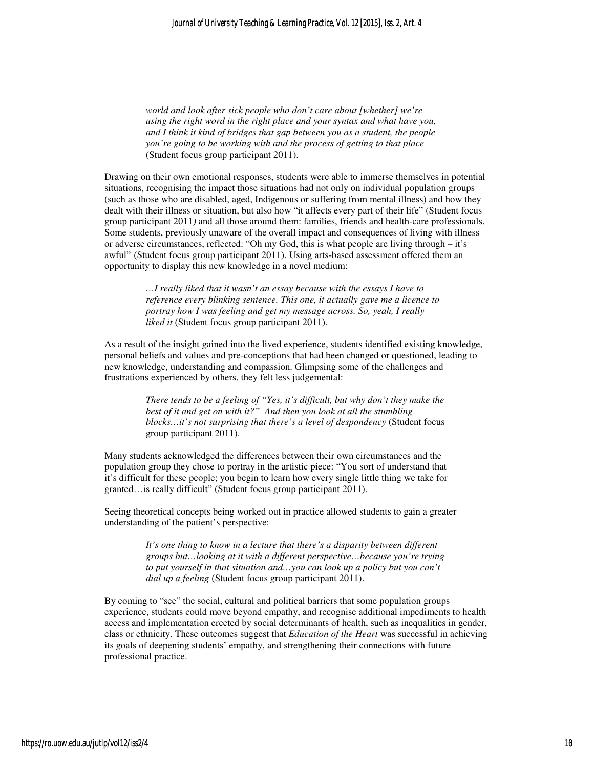*world and look after sick people who don't care about [whether] we're using the right word in the right place and your syntax and what have you, and I think it kind of bridges that gap between you as a student, the people you're going to be working with and the process of getting to that place*  (Student focus group participant 2011).

Drawing on their own emotional responses, students were able to immerse themselves in potential situations, recognising the impact those situations had not only on individual population groups (such as those who are disabled, aged, Indigenous or suffering from mental illness) and how they dealt with their illness or situation, but also how "it affects every part of their life" (Student focus group participant 2011*)* and all those around them: families, friends and health-care professionals. Some students, previously unaware of the overall impact and consequences of living with illness or adverse circumstances, reflected: "Oh my God, this is what people are living through – it's awful" (Student focus group participant 2011). Using arts-based assessment offered them an opportunity to display this new knowledge in a novel medium:

> *…I really liked that it wasn't an essay because with the essays I have to reference every blinking sentence. This one, it actually gave me a licence to portray how I was feeling and get my message across. So, yeah, I really liked it* (Student focus group participant 2011).

As a result of the insight gained into the lived experience, students identified existing knowledge, personal beliefs and values and pre-conceptions that had been changed or questioned, leading to new knowledge, understanding and compassion. Glimpsing some of the challenges and frustrations experienced by others, they felt less judgemental:

> *There tends to be a feeling of "Yes, it's difficult, but why don't they make the best of it and get on with it?" And then you look at all the stumbling blocks…it's not surprising that there's a level of despondency* (Student focus group participant 2011).

Many students acknowledged the differences between their own circumstances and the population group they chose to portray in the artistic piece: "You sort of understand that it's difficult for these people; you begin to learn how every single little thing we take for granted…is really difficult" (Student focus group participant 2011).

Seeing theoretical concepts being worked out in practice allowed students to gain a greater understanding of the patient's perspective:

> *It's one thing to know in a lecture that there's a disparity between different groups but…looking at it with a different perspective…because you're trying to put yourself in that situation and…you can look up a policy but you can't dial up a feeling* (Student focus group participant 2011).

By coming to "see" the social, cultural and political barriers that some population groups experience, students could move beyond empathy, and recognise additional impediments to health access and implementation erected by social determinants of health, such as inequalities in gender, class or ethnicity. These outcomes suggest that *Education of the Heart* was successful in achieving its goals of deepening students' empathy, and strengthening their connections with future professional practice.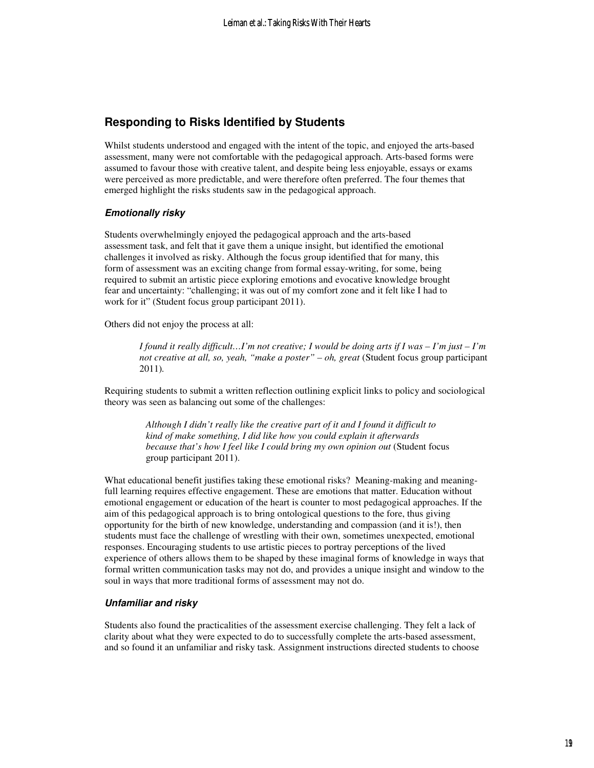## **Responding to Risks Identified by Students**

Whilst students understood and engaged with the intent of the topic, and enjoyed the arts-based assessment, many were not comfortable with the pedagogical approach. Arts-based forms were assumed to favour those with creative talent, and despite being less enjoyable, essays or exams were perceived as more predictable, and were therefore often preferred. The four themes that emerged highlight the risks students saw in the pedagogical approach.

#### **Emotionally risky**

Students overwhelmingly enjoyed the pedagogical approach and the arts-based assessment task, and felt that it gave them a unique insight, but identified the emotional challenges it involved as risky. Although the focus group identified that for many, this form of assessment was an exciting change from formal essay-writing, for some, being required to submit an artistic piece exploring emotions and evocative knowledge brought fear and uncertainty: "challenging; it was out of my comfort zone and it felt like I had to work for it" (Student focus group participant 2011).

Others did not enjoy the process at all:

*I found it really difficult…I'm not creative; I would be doing arts if I was – I'm just – I'm not creative at all, so, yeah, "make a poster" – oh, great* (Student focus group participant 2011)*.*

Requiring students to submit a written reflection outlining explicit links to policy and sociological theory was seen as balancing out some of the challenges:

> *Although I didn't really like the creative part of it and I found it difficult to kind of make something, I did like how you could explain it afterwards because that's how I feel like I could bring my own opinion out* (Student focus group participant 2011).

What educational benefit justifies taking these emotional risks? Meaning-making and meaningfull learning requires effective engagement. These are emotions that matter. Education without emotional engagement or education of the heart is counter to most pedagogical approaches. If the aim of this pedagogical approach is to bring ontological questions to the fore, thus giving opportunity for the birth of new knowledge, understanding and compassion (and it is!), then students must face the challenge of wrestling with their own, sometimes unexpected, emotional responses. Encouraging students to use artistic pieces to portray perceptions of the lived experience of others allows them to be shaped by these imaginal forms of knowledge in ways that formal written communication tasks may not do, and provides a unique insight and window to the soul in ways that more traditional forms of assessment may not do.

#### **Unfamiliar and risky**

Students also found the practicalities of the assessment exercise challenging. They felt a lack of clarity about what they were expected to do to successfully complete the arts-based assessment, and so found it an unfamiliar and risky task. Assignment instructions directed students to choose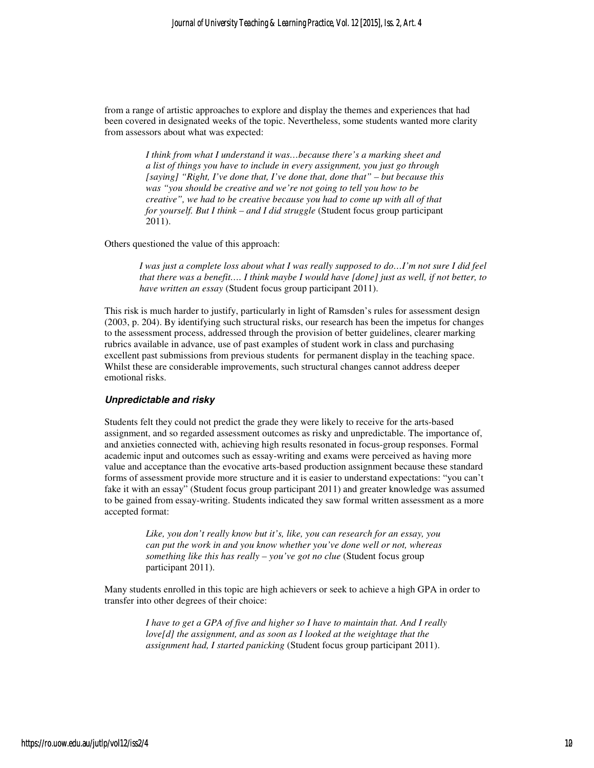from a range of artistic approaches to explore and display the themes and experiences that had been covered in designated weeks of the topic. Nevertheless, some students wanted more clarity from assessors about what was expected:

> *I think from what I understand it was…because there's a marking sheet and a list of things you have to include in every assignment, you just go through [saying] "Right, I've done that, I've done that, done that" – but because this was "you should be creative and we're not going to tell you how to be creative", we had to be creative because you had to come up with all of that for yourself. But I think – and I did struggle* (Student focus group participant 2011).

Others questioned the value of this approach:

*I was just a complete loss about what I was really supposed to do…I'm not sure I did feel that there was a benefit…. I think maybe I would have [done] just as well, if not better, to have written an essay* (Student focus group participant 2011).

This risk is much harder to justify, particularly in light of Ramsden's rules for assessment design (2003, p. 204). By identifying such structural risks, our research has been the impetus for changes to the assessment process, addressed through the provision of better guidelines, clearer marking rubrics available in advance, use of past examples of student work in class and purchasing excellent past submissions from previous students for permanent display in the teaching space. Whilst these are considerable improvements, such structural changes cannot address deeper emotional risks.

#### **Unpredictable and risky**

Students felt they could not predict the grade they were likely to receive for the arts-based assignment, and so regarded assessment outcomes as risky and unpredictable. The importance of, and anxieties connected with, achieving high results resonated in focus-group responses. Formal academic input and outcomes such as essay-writing and exams were perceived as having more value and acceptance than the evocative arts-based production assignment because these standard forms of assessment provide more structure and it is easier to understand expectations: "you can't fake it with an essay" (Student focus group participant 2011) and greater knowledge was assumed to be gained from essay-writing. Students indicated they saw formal written assessment as a more accepted format:

> *Like, you don't really know but it's, like, you can research for an essay, you can put the work in and you know whether you've done well or not, whereas something like this has really – you've got no clue* (Student focus group participant 2011).

Many students enrolled in this topic are high achievers or seek to achieve a high GPA in order to transfer into other degrees of their choice:

> *I have to get a GPA of five and higher so I have to maintain that. And I really love[d] the assignment, and as soon as I looked at the weightage that the assignment had, I started panicking* (Student focus group participant 2011).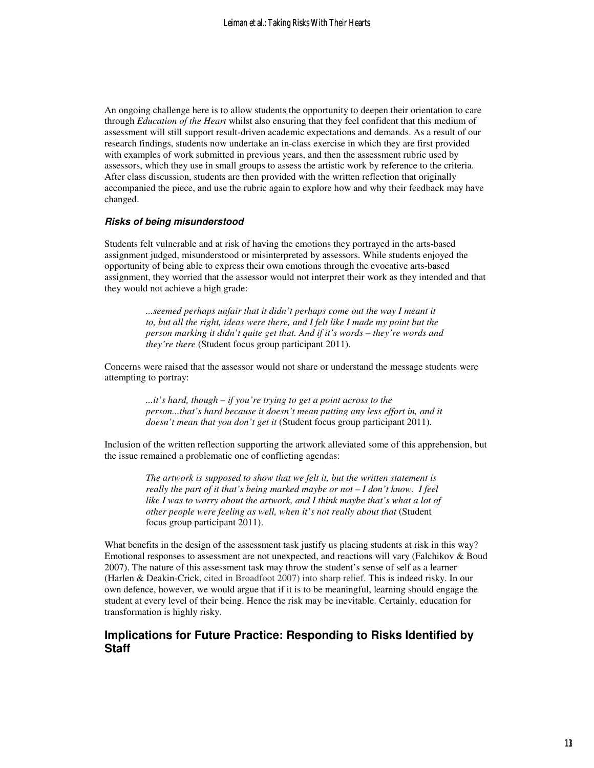An ongoing challenge here is to allow students the opportunity to deepen their orientation to care through *Education of the Heart* whilst also ensuring that they feel confident that this medium of assessment will still support result-driven academic expectations and demands. As a result of our research findings, students now undertake an in-class exercise in which they are first provided with examples of work submitted in previous years, and then the assessment rubric used by assessors, which they use in small groups to assess the artistic work by reference to the criteria. After class discussion, students are then provided with the written reflection that originally accompanied the piece, and use the rubric again to explore how and why their feedback may have changed.

#### **Risks of being misunderstood**

Students felt vulnerable and at risk of having the emotions they portrayed in the arts-based assignment judged, misunderstood or misinterpreted by assessors. While students enjoyed the opportunity of being able to express their own emotions through the evocative arts-based assignment, they worried that the assessor would not interpret their work as they intended and that they would not achieve a high grade:

> *...seemed perhaps unfair that it didn't perhaps come out the way I meant it to, but all the right, ideas were there, and I felt like I made my point but the person marking it didn't quite get that. And if it's words – they're words and they're there* (Student focus group participant 2011).

Concerns were raised that the assessor would not share or understand the message students were attempting to portray:

> *...it's hard, though – if you're trying to get a point across to the person...that's hard because it doesn't mean putting any less effort in, and it doesn't mean that you don't get it* (Student focus group participant 2011)*.*

Inclusion of the written reflection supporting the artwork alleviated some of this apprehension, but the issue remained a problematic one of conflicting agendas:

> *The artwork is supposed to show that we felt it, but the written statement is really the part of it that's being marked maybe or not – I don't know. I feel like I was to worry about the artwork, and I think maybe that's what a lot of other people were feeling as well, when it's not really about that* (Student focus group participant 2011).

What benefits in the design of the assessment task justify us placing students at risk in this way? Emotional responses to assessment are not unexpected, and reactions will vary (Falchikov & Boud 2007). The nature of this assessment task may throw the student's sense of self as a learner (Harlen & Deakin-Crick, cited in Broadfoot 2007) into sharp relief. This is indeed risky. In our own defence, however, we would argue that if it is to be meaningful, learning should engage the student at every level of their being. Hence the risk may be inevitable. Certainly, education for transformation is highly risky.

## **Implications for Future Practice: Responding to Risks Identified by Staff**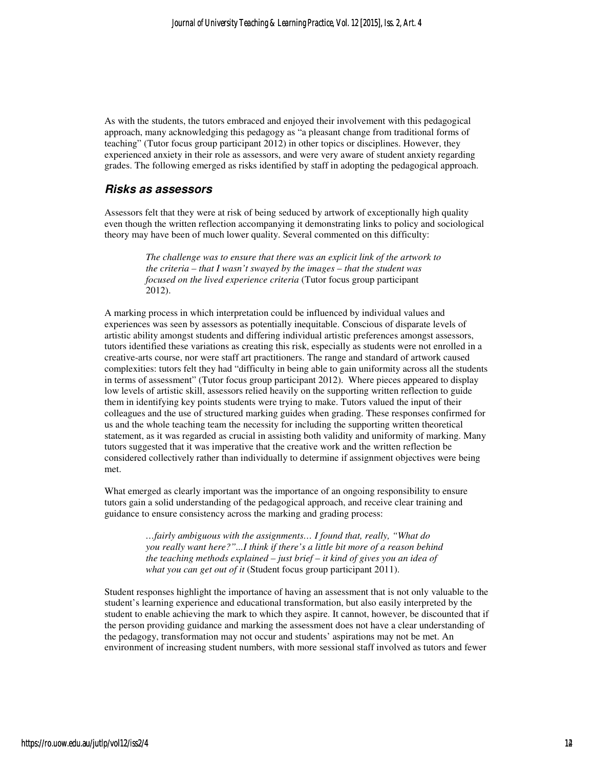As with the students, the tutors embraced and enjoyed their involvement with this pedagogical approach, many acknowledging this pedagogy as "a pleasant change from traditional forms of teaching" (Tutor focus group participant 2012) in other topics or disciplines. However, they experienced anxiety in their role as assessors, and were very aware of student anxiety regarding grades. The following emerged as risks identified by staff in adopting the pedagogical approach.

#### **Risks as assessors**

Assessors felt that they were at risk of being seduced by artwork of exceptionally high quality even though the written reflection accompanying it demonstrating links to policy and sociological theory may have been of much lower quality. Several commented on this difficulty:

> *The challenge was to ensure that there was an explicit link of the artwork to the criteria – that I wasn't swayed by the images – that the student was focused on the lived experience criteria* (Tutor focus group participant 2012).

A marking process in which interpretation could be influenced by individual values and experiences was seen by assessors as potentially inequitable. Conscious of disparate levels of artistic ability amongst students and differing individual artistic preferences amongst assessors, tutors identified these variations as creating this risk, especially as students were not enrolled in a creative-arts course, nor were staff art practitioners. The range and standard of artwork caused complexities: tutors felt they had "difficulty in being able to gain uniformity across all the students in terms of assessment" (Tutor focus group participant 2012). Where pieces appeared to display low levels of artistic skill, assessors relied heavily on the supporting written reflection to guide them in identifying key points students were trying to make. Tutors valued the input of their colleagues and the use of structured marking guides when grading. These responses confirmed for us and the whole teaching team the necessity for including the supporting written theoretical statement, as it was regarded as crucial in assisting both validity and uniformity of marking. Many tutors suggested that it was imperative that the creative work and the written reflection be considered collectively rather than individually to determine if assignment objectives were being met.

What emerged as clearly important was the importance of an ongoing responsibility to ensure tutors gain a solid understanding of the pedagogical approach, and receive clear training and guidance to ensure consistency across the marking and grading process:

> *…fairly ambiguous with the assignments… I found that, really, "What do you really want here?"...I think if there's a little bit more of a reason behind the teaching methods explained – just brief – it kind of gives you an idea of what you can get out of it* (Student focus group participant 2011).

Student responses highlight the importance of having an assessment that is not only valuable to the student's learning experience and educational transformation, but also easily interpreted by the student to enable achieving the mark to which they aspire. It cannot, however, be discounted that if the person providing guidance and marking the assessment does not have a clear understanding of the pedagogy, transformation may not occur and students' aspirations may not be met. An environment of increasing student numbers, with more sessional staff involved as tutors and fewer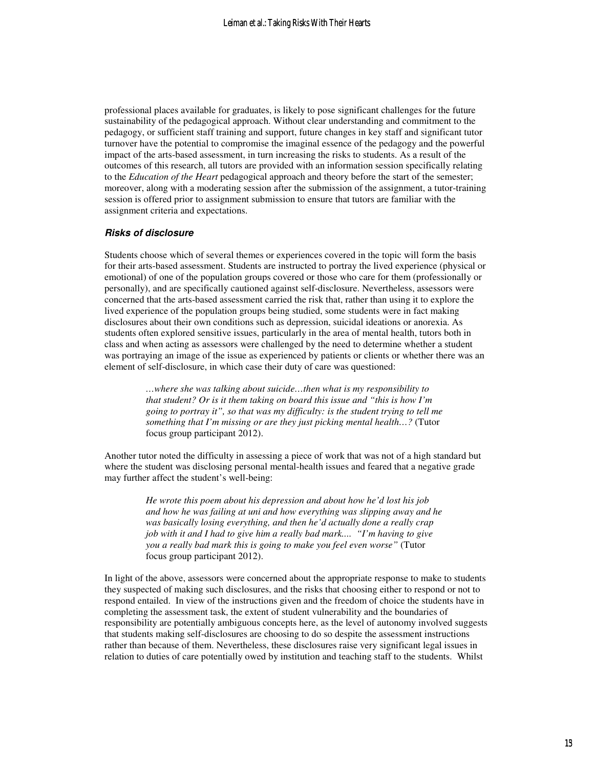professional places available for graduates, is likely to pose significant challenges for the future sustainability of the pedagogical approach. Without clear understanding and commitment to the pedagogy, or sufficient staff training and support, future changes in key staff and significant tutor turnover have the potential to compromise the imaginal essence of the pedagogy and the powerful impact of the arts-based assessment, in turn increasing the risks to students. As a result of the outcomes of this research, all tutors are provided with an information session specifically relating to the *Education of the Heart* pedagogical approach and theory before the start of the semester; moreover, along with a moderating session after the submission of the assignment, a tutor-training session is offered prior to assignment submission to ensure that tutors are familiar with the assignment criteria and expectations.

#### **Risks of disclosure**

Students choose which of several themes or experiences covered in the topic will form the basis for their arts-based assessment. Students are instructed to portray the lived experience (physical or emotional) of one of the population groups covered or those who care for them (professionally or personally), and are specifically cautioned against self-disclosure. Nevertheless, assessors were concerned that the arts-based assessment carried the risk that, rather than using it to explore the lived experience of the population groups being studied, some students were in fact making disclosures about their own conditions such as depression, suicidal ideations or anorexia. As students often explored sensitive issues, particularly in the area of mental health, tutors both in class and when acting as assessors were challenged by the need to determine whether a student was portraying an image of the issue as experienced by patients or clients or whether there was an element of self-disclosure, in which case their duty of care was questioned:

> *…where she was talking about suicide…then what is my responsibility to that student? Or is it them taking on board this issue and "this is how I'm going to portray it", so that was my difficulty: is the student trying to tell me something that I'm missing or are they just picking mental health…?* (Tutor focus group participant 2012).

Another tutor noted the difficulty in assessing a piece of work that was not of a high standard but where the student was disclosing personal mental-health issues and feared that a negative grade may further affect the student's well-being:

> *He wrote this poem about his depression and about how he'd lost his job and how he was failing at uni and how everything was slipping away and he was basically losing everything, and then he'd actually done a really crap job with it and I had to give him a really bad mark.... "I'm having to give you a really bad mark this is going to make you feel even worse"* (Tutor focus group participant 2012).

In light of the above, assessors were concerned about the appropriate response to make to students they suspected of making such disclosures, and the risks that choosing either to respond or not to respond entailed. In view of the instructions given and the freedom of choice the students have in completing the assessment task, the extent of student vulnerability and the boundaries of responsibility are potentially ambiguous concepts here, as the level of autonomy involved suggests that students making self-disclosures are choosing to do so despite the assessment instructions rather than because of them. Nevertheless, these disclosures raise very significant legal issues in relation to duties of care potentially owed by institution and teaching staff to the students. Whilst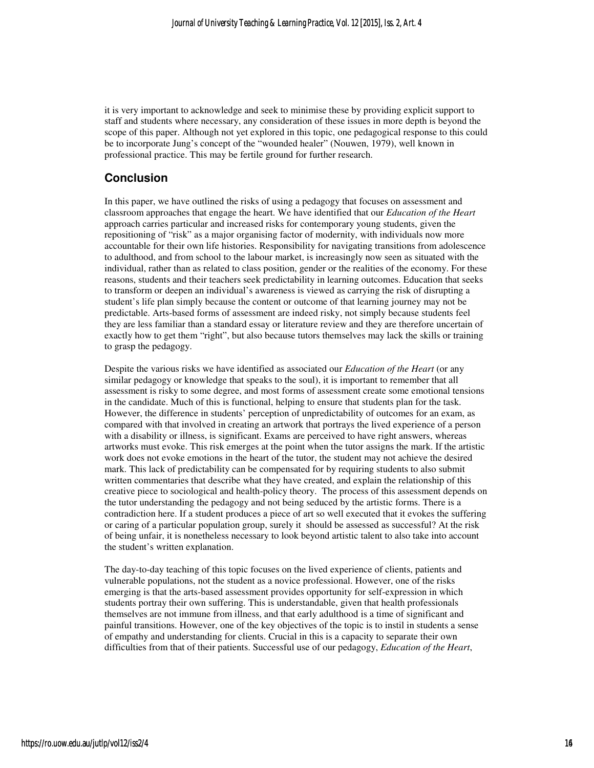it is very important to acknowledge and seek to minimise these by providing explicit support to staff and students where necessary, any consideration of these issues in more depth is beyond the scope of this paper. Although not yet explored in this topic, one pedagogical response to this could be to incorporate Jung's concept of the "wounded healer" (Nouwen, 1979), well known in professional practice. This may be fertile ground for further research.

## **Conclusion**

In this paper, we have outlined the risks of using a pedagogy that focuses on assessment and classroom approaches that engage the heart. We have identified that our *Education of the Heart* approach carries particular and increased risks for contemporary young students, given the repositioning of "risk" as a major organising factor of modernity, with individuals now more accountable for their own life histories. Responsibility for navigating transitions from adolescence to adulthood, and from school to the labour market, is increasingly now seen as situated with the individual, rather than as related to class position, gender or the realities of the economy. For these reasons, students and their teachers seek predictability in learning outcomes. Education that seeks to transform or deepen an individual's awareness is viewed as carrying the risk of disrupting a student's life plan simply because the content or outcome of that learning journey may not be predictable. Arts-based forms of assessment are indeed risky, not simply because students feel they are less familiar than a standard essay or literature review and they are therefore uncertain of exactly how to get them "right", but also because tutors themselves may lack the skills or training to grasp the pedagogy.

Despite the various risks we have identified as associated our *Education of the Heart* (or any similar pedagogy or knowledge that speaks to the soul), it is important to remember that all assessment is risky to some degree, and most forms of assessment create some emotional tensions in the candidate. Much of this is functional, helping to ensure that students plan for the task. However, the difference in students' perception of unpredictability of outcomes for an exam, as compared with that involved in creating an artwork that portrays the lived experience of a person with a disability or illness, is significant. Exams are perceived to have right answers, whereas artworks must evoke. This risk emerges at the point when the tutor assigns the mark. If the artistic work does not evoke emotions in the heart of the tutor, the student may not achieve the desired mark. This lack of predictability can be compensated for by requiring students to also submit written commentaries that describe what they have created, and explain the relationship of this creative piece to sociological and health-policy theory. The process of this assessment depends on the tutor understanding the pedagogy and not being seduced by the artistic forms. There is a contradiction here. If a student produces a piece of art so well executed that it evokes the suffering or caring of a particular population group, surely it should be assessed as successful? At the risk of being unfair, it is nonetheless necessary to look beyond artistic talent to also take into account the student's written explanation.

The day-to-day teaching of this topic focuses on the lived experience of clients, patients and vulnerable populations, not the student as a novice professional. However, one of the risks emerging is that the arts-based assessment provides opportunity for self-expression in which students portray their own suffering. This is understandable, given that health professionals themselves are not immune from illness, and that early adulthood is a time of significant and painful transitions. However, one of the key objectives of the topic is to instil in students a sense of empathy and understanding for clients. Crucial in this is a capacity to separate their own difficulties from that of their patients. Successful use of our pedagogy, *Education of the Heart*,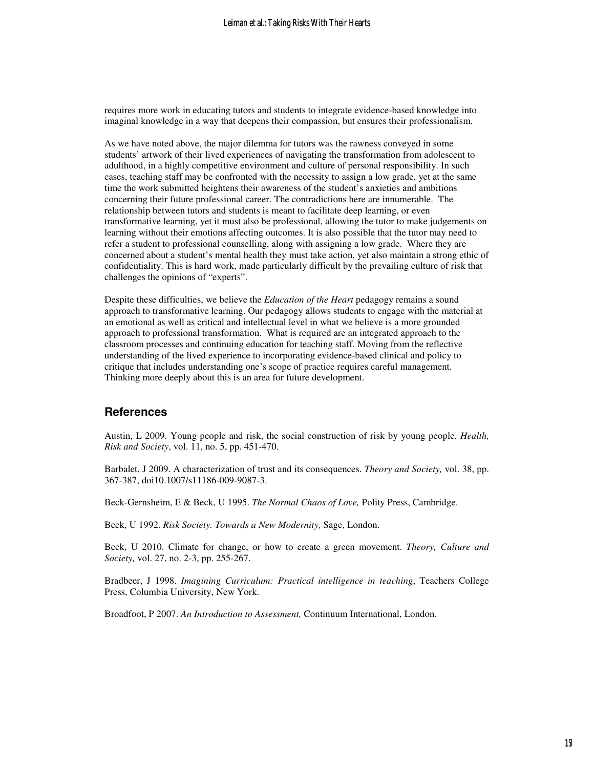requires more work in educating tutors and students to integrate evidence-based knowledge into imaginal knowledge in a way that deepens their compassion, but ensures their professionalism.

As we have noted above, the major dilemma for tutors was the rawness conveyed in some students' artwork of their lived experiences of navigating the transformation from adolescent to adulthood, in a highly competitive environment and culture of personal responsibility. In such cases, teaching staff may be confronted with the necessity to assign a low grade, yet at the same time the work submitted heightens their awareness of the student's anxieties and ambitions concerning their future professional career. The contradictions here are innumerable. The relationship between tutors and students is meant to facilitate deep learning, or even transformative learning, yet it must also be professional, allowing the tutor to make judgements on learning without their emotions affecting outcomes. It is also possible that the tutor may need to refer a student to professional counselling, along with assigning a low grade. Where they are concerned about a student's mental health they must take action, yet also maintain a strong ethic of confidentiality. This is hard work, made particularly difficult by the prevailing culture of risk that challenges the opinions of "experts".

Despite these difficulties, we believe the *Education of the Heart* pedagogy remains a sound approach to transformative learning. Our pedagogy allows students to engage with the material at an emotional as well as critical and intellectual level in what we believe is a more grounded approach to professional transformation. What is required are an integrated approach to the classroom processes and continuing education for teaching staff. Moving from the reflective understanding of the lived experience to incorporating evidence-based clinical and policy to critique that includes understanding one's scope of practice requires careful management. Thinking more deeply about this is an area for future development.

## **References**

Austin, L 2009. Young people and risk, the social construction of risk by young people. *Health, Risk and Society*, vol. 11, no. 5, pp. 451-470.

Barbalet, J 2009. A characterization of trust and its consequences. *Theory and Society,* vol. 38, pp. 367-387, doi10.1007/s11186-009-9087-3.

Beck-Gernsheim, E & Beck, U 1995. *The Normal Chaos of Love,* Polity Press, Cambridge.

Beck, U 1992. *Risk Society. Towards a New Modernity,* Sage, London.

Beck, U 2010. Climate for change, or how to create a green movement. *Theory, Culture and Society,* vol. 27, no. 2-3, pp. 255-267.

Bradbeer, J 1998. *Imagining Curriculum: Practical intelligence in teaching*, Teachers College Press, Columbia University, New York.

Broadfoot, P 2007. *An Introduction to Assessment,* Continuum International, London.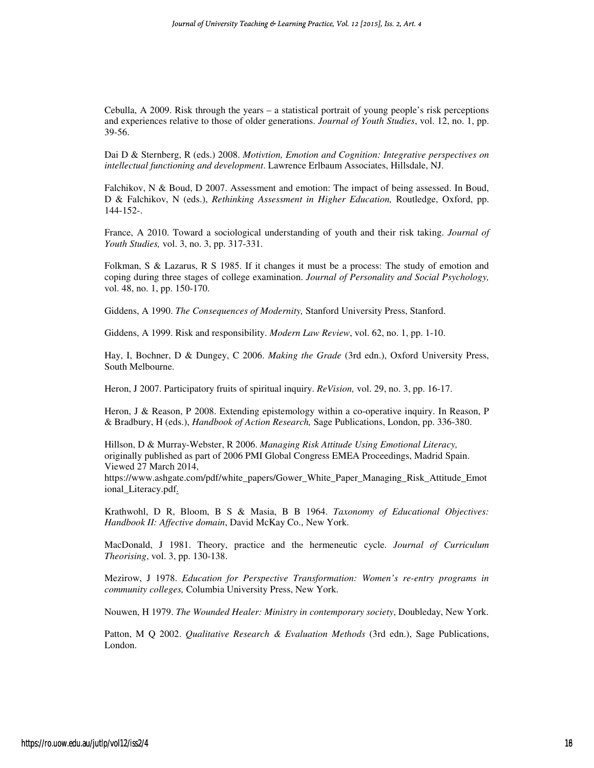Cebulla, A 2009. Risk through the years – a statistical portrait of young people's risk perceptions and experiences relative to those of older generations. *Journal of Youth Studies*, vol. 12, no. 1, pp. 39-56.

Dai D & Sternberg, R (eds.) 2008. *Motivtion, Emotion and Cognition: Integrative perspectives on intellectual functioning and development*. Lawrence Erlbaum Associates, Hillsdale, NJ.

Falchikov, N & Boud, D 2007. Assessment and emotion: The impact of being assessed. In Boud, D & Falchikov, N (eds.), *Rethinking Assessment in Higher Education,* Routledge, Oxford, pp. 144-152-.

France, A 2010. Toward a sociological understanding of youth and their risk taking. *Journal of Youth Studies,* vol. 3, no. 3, pp. 317-331.

Folkman, S & Lazarus, R S 1985. If it changes it must be a process: The study of emotion and coping during three stages of college examination. *Journal of Personality and Social Psychology,* vol. 48, no. 1, pp. 150-170.

Giddens, A 1990. *The Consequences of Modernity,* Stanford University Press, Stanford.

Giddens, A 1999. Risk and responsibility. *Modern Law Review*, vol. 62, no. 1, pp. 1-10.

Hay, I, Bochner, D & Dungey, C 2006. *Making the Grade* (3rd edn.), Oxford University Press, South Melbourne.

Heron, J 2007. Participatory fruits of spiritual inquiry. *ReVision,* vol. 29, no. 3, pp. 16-17.

Heron, J & Reason, P 2008. Extending epistemology within a co-operative inquiry. In Reason, P & Bradbury, H (eds.), *Handbook of Action Research,* Sage Publications, London, pp. 336-380.

Hillson, D & Murray-Webster, R 2006. *Managing Risk Attitude Using Emotional Literacy,*  originally published as part of 2006 PMI Global Congress EMEA Proceedings, Madrid Spain. Viewed 27 March 2014,

https://www.ashgate.com/pdf/white\_papers/Gower\_White\_Paper\_Managing\_Risk\_Attitude\_Emot ional\_Literacy.pdf.

Krathwohl, D R, Bloom, B S & Masia, B B 1964. *Taxonomy of Educational Objectives: Handbook II: Affective domain*, David McKay Co., New York.

MacDonald, J 1981. Theory, practice and the hermeneutic cycle. *Journal of Curriculum Theorising*, vol. 3, pp. 130-138.

Mezirow, J 1978. *Education for Perspective Transformation: Women's re-entry programs in community colleges,* Columbia University Press, New York.

Nouwen, H 1979. *The Wounded Healer: Ministry in contemporary society*, Doubleday, New York.

Patton, M Q 2002. *Qualitative Research & Evaluation Methods* (3rd edn.), Sage Publications, London.